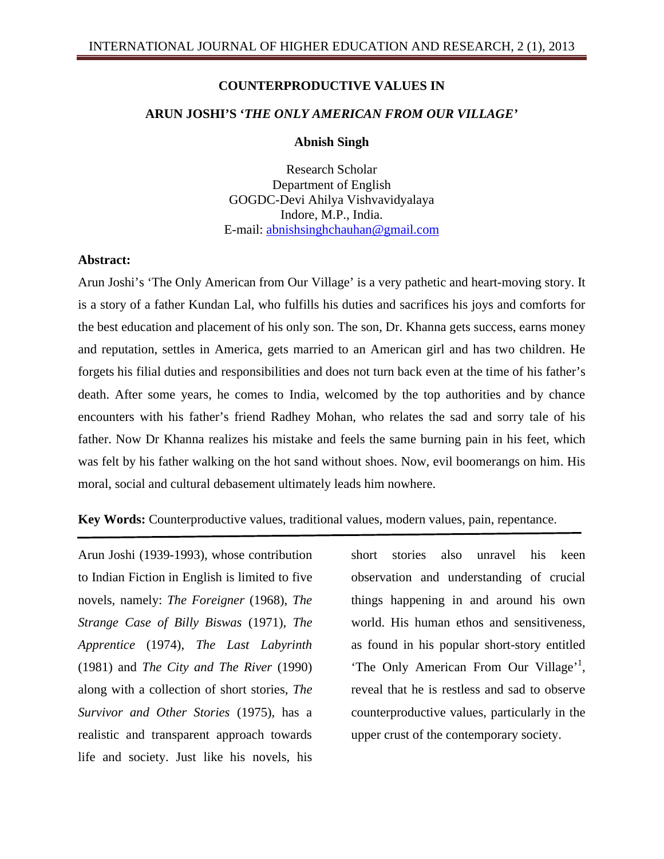### **COUNTERPRODUCTIVE VALUES IN**

# **ARUN JOSHI'S '***THE ONLY AMERICAN FROM OUR VILLAGE'*

#### **Abnish Singh**

Research Scholar Department of English GOGDC-Devi Ahilya Vishvavidyalaya Indore, M.P., India. E-mail: abnishsinghchauhan@gmail.com

#### **Abstract:**

Arun Joshi's 'The Only American from Our Village' is a very pathetic and heart-moving story. It is a story of a father Kundan Lal, who fulfills his duties and sacrifices his joys and comforts for the best education and placement of his only son. The son, Dr. Khanna gets success, earns money and reputation, settles in America, gets married to an American girl and has two children. He forgets his filial duties and responsibilities and does not turn back even at the time of his father's death. After some years, he comes to India, welcomed by the top authorities and by chance encounters with his father's friend Radhey Mohan, who relates the sad and sorry tale of his father. Now Dr Khanna realizes his mistake and feels the same burning pain in his feet, which was felt by his father walking on the hot sand without shoes. Now, evil boomerangs on him. His moral, social and cultural debasement ultimately leads him nowhere.

## **Key Words:** Counterproductive values, traditional values, modern values, pain, repentance.

Arun Joshi (1939-1993), whose contribution to Indian Fiction in English is limited to five novels, namely: *The Foreigner* (1968), *The Strange Case of Billy Biswas* (1971), *The Apprentice* (1974), *The Last Labyrinth* (1981) and *The City and The River* (1990) along with a collection of short stories, *The Survivor and Other Stories* (1975), has a realistic and transparent approach towards life and society. Just like his novels, his

short stories also unravel his keen observation and understanding of crucial things happening in and around his own world. His human ethos and sensitiveness, as found in his popular short-story entitled 'The Only American From Our Village'<sup>1</sup>, reveal that he is restless and sad to observe counterproductive values, particularly in the upper crust of the contemporary society.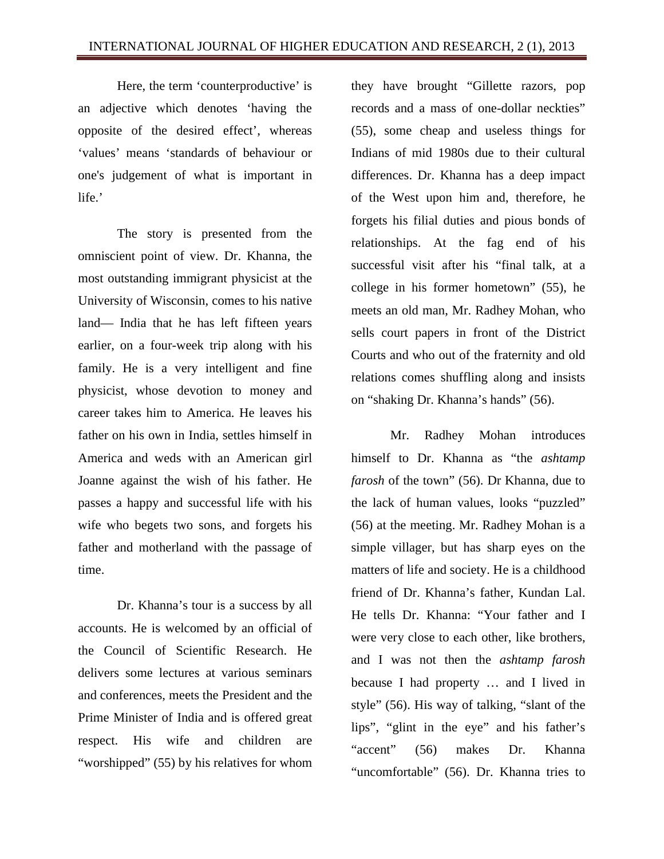Here, the term 'counterproductive' is an adjective which denotes 'having the opposite of the desired effect', whereas 'values' means 'standards of behaviour or one's judgement of what is important in life.'

The story is presented from the omniscient point of view. Dr. Khanna, the most outstanding immigrant physicist at the University of Wisconsin, comes to his native land— India that he has left fifteen years earlier, on a four-week trip along with his family. He is a very intelligent and fine physicist, whose devotion to money and career takes him to America. He leaves his father on his own in India, settles himself in America and weds with an American girl Joanne against the wish of his father. He passes a happy and successful life with his wife who begets two sons, and forgets his father and motherland with the passage of time.

Dr. Khanna's tour is a success by all accounts. He is welcomed by an official of the Council of Scientific Research. He delivers some lectures at various seminars and conferences, meets the President and the Prime Minister of India and is offered great respect. His wife and children are "worshipped" (55) by his relatives for whom they have brought "Gillette razors, pop records and a mass of one-dollar neckties" (55), some cheap and useless things for Indians of mid 1980s due to their cultural differences. Dr. Khanna has a deep impact of the West upon him and, therefore, he forgets his filial duties and pious bonds of relationships. At the fag end of his successful visit after his "final talk, at a college in his former hometown" (55), he meets an old man, Mr. Radhey Mohan, who sells court papers in front of the District Courts and who out of the fraternity and old relations comes shuffling along and insists on "shaking Dr. Khanna's hands" (56).

Mr. Radhey Mohan introduces himself to Dr. Khanna as "the *ashtamp farosh* of the town" (56). Dr Khanna, due to the lack of human values, looks "puzzled" (56) at the meeting. Mr. Radhey Mohan is a simple villager, but has sharp eyes on the matters of life and society. He is a childhood friend of Dr. Khanna's father, Kundan Lal. He tells Dr. Khanna: "Your father and I were very close to each other, like brothers, and I was not then the *ashtamp farosh* because I had property … and I lived in style" (56). His way of talking, "slant of the lips", "glint in the eye" and his father's "accent" (56) makes Dr. Khanna "uncomfortable" (56). Dr. Khanna tries to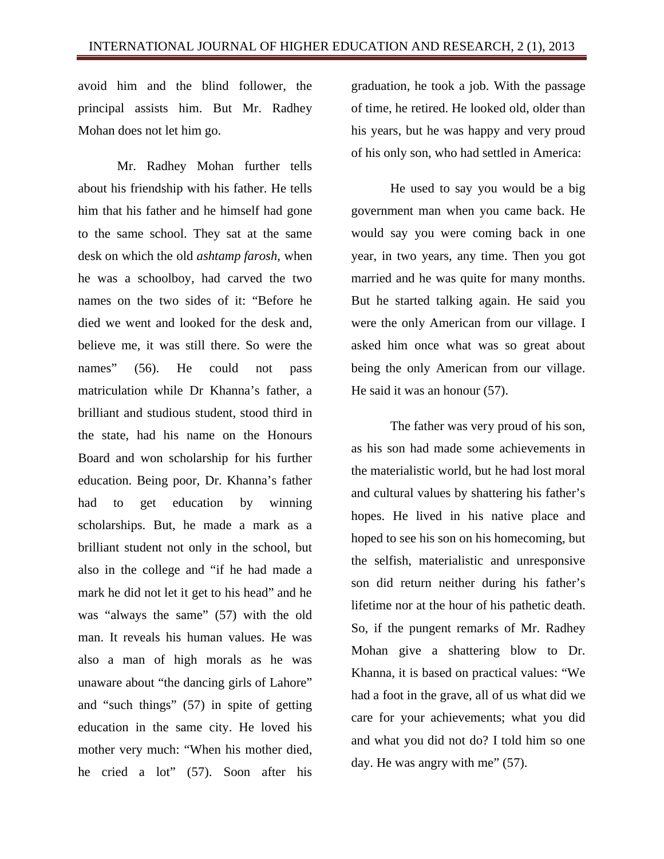avoid him and the blind follower, the principal assists him. But Mr. Radhey Mohan does not let him go.

Mr. Radhey Mohan further tells about his friendship with his father. He tells him that his father and he himself had gone to the same school. They sat at the same desk on which the old *ashtamp farosh,* when he was a schoolboy, had carved the two names on the two sides of it: "Before he died we went and looked for the desk and, believe me, it was still there. So were the names" (56). He could not pass matriculation while Dr Khanna's father, a brilliant and studious student, stood third in the state, had his name on the Honours Board and won scholarship for his further education. Being poor, Dr. Khanna's father had to get education by winning scholarships. But, he made a mark as a brilliant student not only in the school, but also in the college and "if he had made a mark he did not let it get to his head" and he was "always the same" (57) with the old man. It reveals his human values. He was also a man of high morals as he was unaware about "the dancing girls of Lahore" and "such things" (57) in spite of getting education in the same city. He loved his mother very much: "When his mother died, he cried a lot" (57). Soon after his

graduation, he took a job. With the passage of time, he retired. He looked old, older than his years, but he was happy and very proud of his only son, who had settled in America:

He used to say you would be a big government man when you came back. He would say you were coming back in one year, in two years, any time. Then you got married and he was quite for many months. But he started talking again. He said you were the only American from our village. I asked him once what was so great about being the only American from our village. He said it was an honour (57).

The father was very proud of his son, as his son had made some achievements in the materialistic world, but he had lost moral and cultural values by shattering his father's hopes. He lived in his native place and hoped to see his son on his homecoming, but the selfish, materialistic and unresponsive son did return neither during his father's lifetime nor at the hour of his pathetic death. So, if the pungent remarks of Mr. Radhey Mohan give a shattering blow to Dr. Khanna, it is based on practical values: "We had a foot in the grave, all of us what did we care for your achievements; what you did and what you did not do? I told him so one day. He was angry with me" (57).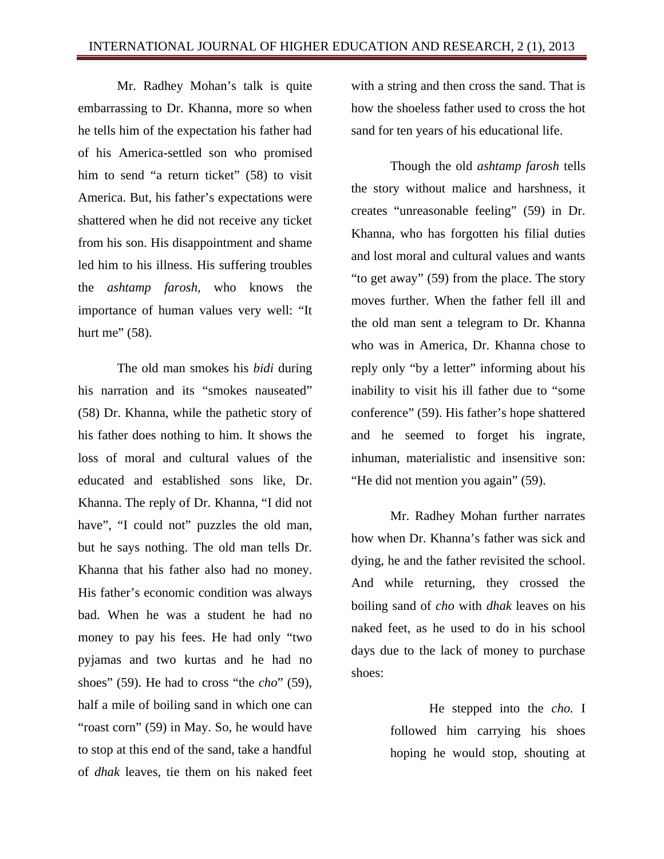Mr. Radhey Mohan's talk is quite embarrassing to Dr. Khanna, more so when he tells him of the expectation his father had of his America-settled son who promised him to send "a return ticket" (58) to visit America. But, his father's expectations were shattered when he did not receive any ticket from his son. His disappointment and shame led him to his illness. His suffering troubles the *ashtamp farosh,* who knows the importance of human values very well: "It hurt me"  $(58)$ .

The old man smokes his *bidi* during his narration and its "smokes nauseated" (58) Dr. Khanna, while the pathetic story of his father does nothing to him. It shows the loss of moral and cultural values of the educated and established sons like, Dr. Khanna. The reply of Dr. Khanna, "I did not have", "I could not" puzzles the old man, but he says nothing. The old man tells Dr. Khanna that his father also had no money. His father's economic condition was always bad. When he was a student he had no money to pay his fees. He had only "two pyjamas and two kurtas and he had no shoes" (59). He had to cross "the *cho*" (59), half a mile of boiling sand in which one can "roast corn" (59) in May. So, he would have to stop at this end of the sand, take a handful of *dhak* leaves, tie them on his naked feet

with a string and then cross the sand. That is how the shoeless father used to cross the hot sand for ten years of his educational life.

Though the old *ashtamp farosh* tells the story without malice and harshness, it creates "unreasonable feeling" (59) in Dr. Khanna, who has forgotten his filial duties and lost moral and cultural values and wants "to get away" (59) from the place. The story moves further. When the father fell ill and the old man sent a telegram to Dr. Khanna who was in America, Dr. Khanna chose to reply only "by a letter" informing about his inability to visit his ill father due to "some conference" (59). His father's hope shattered and he seemed to forget his ingrate, inhuman, materialistic and insensitive son: "He did not mention you again" (59).

Mr. Radhey Mohan further narrates how when Dr. Khanna's father was sick and dying, he and the father revisited the school. And while returning, they crossed the boiling sand of *cho* with *dhak* leaves on his naked feet, as he used to do in his school days due to the lack of money to purchase shoes:

> He stepped into the *cho.* I followed him carrying his shoes hoping he would stop, shouting at